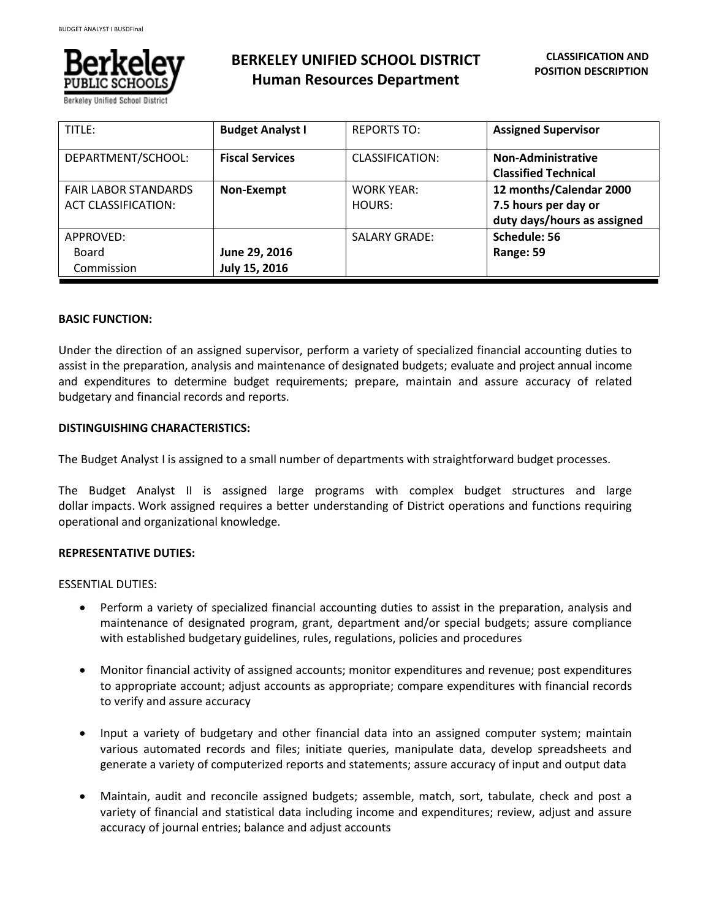

**BERKELEY UNIFIED SCHOOL DISTRICT Human Resources Department**

| TITLE:                      | <b>Budget Analyst I</b> | <b>REPORTS TO:</b>   | <b>Assigned Supervisor</b>  |
|-----------------------------|-------------------------|----------------------|-----------------------------|
| DEPARTMENT/SCHOOL:          | <b>Fiscal Services</b>  | CLASSIFICATION:      | <b>Non-Administrative</b>   |
|                             |                         |                      | <b>Classified Technical</b> |
| <b>FAIR LABOR STANDARDS</b> | Non-Exempt              | <b>WORK YEAR:</b>    | 12 months/Calendar 2000     |
| <b>ACT CLASSIFICATION:</b>  |                         | HOURS:               | 7.5 hours per day or        |
|                             |                         |                      | duty days/hours as assigned |
| APPROVED:                   |                         | <b>SALARY GRADE:</b> | Schedule: 56                |
| Board                       | June 29, 2016           |                      | Range: 59                   |
| Commission                  | July 15, 2016           |                      |                             |

# **BASIC FUNCTION:**

Under the direction of an assigned supervisor, perform a variety of specialized financial accounting duties to assist in the preparation, analysis and maintenance of designated budgets; evaluate and project annual income and expenditures to determine budget requirements; prepare, maintain and assure accuracy of related budgetary and financial records and reports.

# **DISTINGUISHING CHARACTERISTICS:**

The Budget Analyst I is assigned to a small number of departments with straightforward budget processes.

The Budget Analyst II is assigned large programs with complex budget structures and large dollar impacts. Work assigned requires a better understanding of District operations and functions requiring operational and organizational knowledge.

#### **REPRESENTATIVE DUTIES:**

ESSENTIAL DUTIES:

- Perform a variety of specialized financial accounting duties to assist in the preparation, analysis and maintenance of designated program, grant, department and/or special budgets; assure compliance with established budgetary guidelines, rules, regulations, policies and procedures
- Monitor financial activity of assigned accounts; monitor expenditures and revenue; post expenditures to appropriate account; adjust accounts as appropriate; compare expenditures with financial records to verify and assure accuracy
- Input a variety of budgetary and other financial data into an assigned computer system; maintain various automated records and files; initiate queries, manipulate data, develop spreadsheets and generate a variety of computerized reports and statements; assure accuracy of input and output data
- Maintain, audit and reconcile assigned budgets; assemble, match, sort, tabulate, check and post a variety of financial and statistical data including income and expenditures; review, adjust and assure accuracy of journal entries; balance and adjust accounts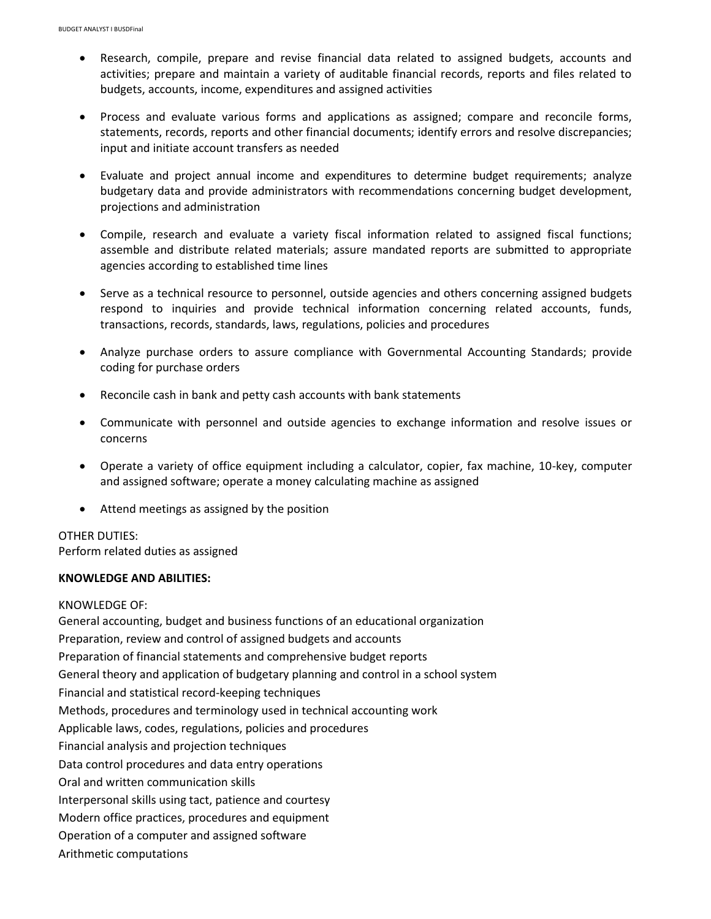- Research, compile, prepare and revise financial data related to assigned budgets, accounts and activities; prepare and maintain a variety of auditable financial records, reports and files related to budgets, accounts, income, expenditures and assigned activities
- Process and evaluate various forms and applications as assigned; compare and reconcile forms, statements, records, reports and other financial documents; identify errors and resolve discrepancies; input and initiate account transfers as needed
- Evaluate and project annual income and expenditures to determine budget requirements; analyze budgetary data and provide administrators with recommendations concerning budget development, projections and administration
- Compile, research and evaluate a variety fiscal information related to assigned fiscal functions; assemble and distribute related materials; assure mandated reports are submitted to appropriate agencies according to established time lines
- Serve as a technical resource to personnel, outside agencies and others concerning assigned budgets respond to inquiries and provide technical information concerning related accounts, funds, transactions, records, standards, laws, regulations, policies and procedures
- Analyze purchase orders to assure compliance with Governmental Accounting Standards; provide coding for purchase orders
- Reconcile cash in bank and petty cash accounts with bank statements
- Communicate with personnel and outside agencies to exchange information and resolve issues or concerns
- Operate a variety of office equipment including a calculator, copier, fax machine, 10-key, computer and assigned software; operate a money calculating machine as assigned
- Attend meetings as assigned by the position

# OTHER DUTIES: Perform related duties as assigned

# **KNOWLEDGE AND ABILITIES:**

# KNOWLEDGE OF:

General accounting, budget and business functions of an educational organization Preparation, review and control of assigned budgets and accounts Preparation of financial statements and comprehensive budget reports General theory and application of budgetary planning and control in a school system Financial and statistical record-keeping techniques Methods, procedures and terminology used in technical accounting work Applicable laws, codes, regulations, policies and procedures Financial analysis and projection techniques Data control procedures and data entry operations Oral and written communication skills Interpersonal skills using tact, patience and courtesy Modern office practices, procedures and equipment Operation of a computer and assigned software Arithmetic computations